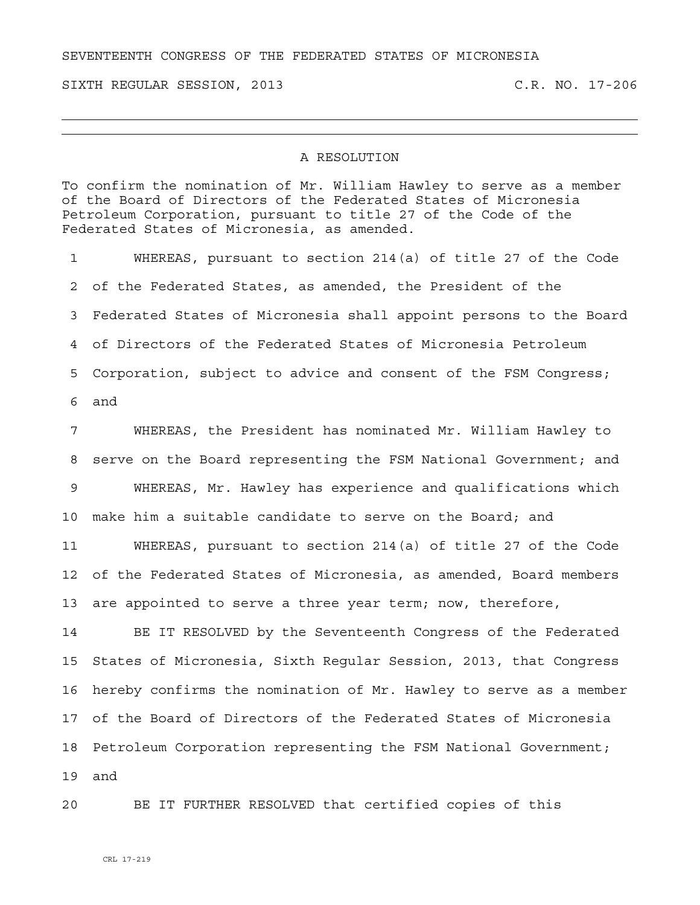SEVENTEENTH CONGRESS OF THE FEDERATED STATES OF MICRONESIA

SIXTH REGULAR SESSION, 2013 C.R. NO. 17-206

## A RESOLUTION

To confirm the nomination of Mr. William Hawley to serve as a member of the Board of Directors of the Federated States of Micronesia Petroleum Corporation, pursuant to title 27 of the Code of the Federated States of Micronesia, as amended.

1 WHEREAS, pursuant to section 214(a) of title 27 of the Code 2 of the Federated States, as amended, the President of the 3 Federated States of Micronesia shall appoint persons to the Board 4 of Directors of the Federated States of Micronesia Petroleum 5 Corporation, subject to advice and consent of the FSM Congress; 6 and

7 WHEREAS, the President has nominated Mr. William Hawley to 8 serve on the Board representing the FSM National Government; and 9 WHEREAS, Mr. Hawley has experience and qualifications which 10 make him a suitable candidate to serve on the Board; and

11 WHEREAS, pursuant to section 214(a) of title 27 of the Code 12 of the Federated States of Micronesia, as amended, Board members 13 are appointed to serve a three year term; now, therefore,

14 BE IT RESOLVED by the Seventeenth Congress of the Federated 15 States of Micronesia, Sixth Regular Session, 2013, that Congress 16 hereby confirms the nomination of Mr. Hawley to serve as a member 17 of the Board of Directors of the Federated States of Micronesia 18 Petroleum Corporation representing the FSM National Government; 19 and

20 BE IT FURTHER RESOLVED that certified copies of this